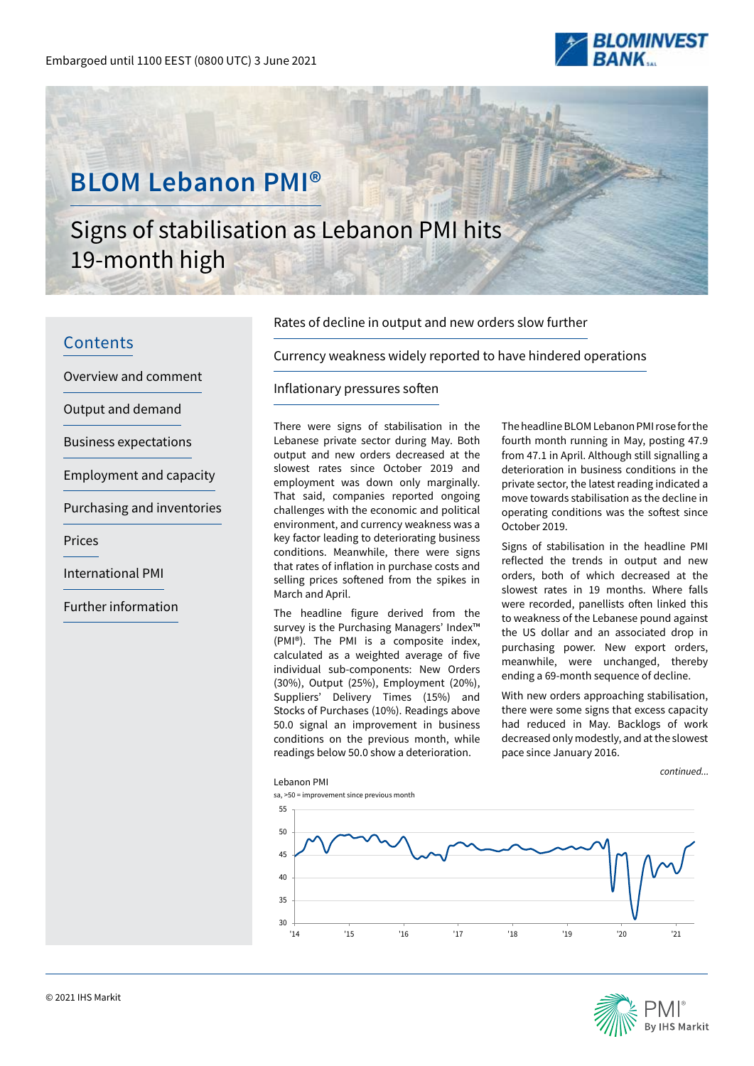

# **BLOM Lebanon PMI®**

# Signs of stabilisation as Lebanon PMI hits 19-month high

# **Contents**

Overview and comment

Output and demand

Business expectations

Employment and capacity

Purchasing and inventories

Prices

International PMI

Further information

### Rates of decline in output and new orders slow further

Currency weakness widely reported to have hindered operations

# Inflationary pressures soften

There were signs of stabilisation in the Lebanese private sector during May. Both output and new orders decreased at the slowest rates since October 2019 and employment was down only marginally. That said, companies reported ongoing challenges with the economic and political environment, and currency weakness was a key factor leading to deteriorating business conditions. Meanwhile, there were signs that rates of inflation in purchase costs and selling prices softened from the spikes in March and April.

The headline figure derived from the survey is the Purchasing Managers' Index™ (PMI®). The PMI is a composite index, calculated as a weighted average of five individual sub-components: New Orders (30%), Output (25%), Employment (20%), Suppliers' Delivery Times (15%) and Stocks of Purchases (10%). Readings above 50.0 signal an improvement in business conditions on the previous month, while readings below 50.0 show a deterioration.

The headline BLOM Lebanon PMI rose for the fourth month running in May, posting 47.9 from 47.1 in April. Although still signalling a deterioration in business conditions in the private sector, the latest reading indicated a move towards stabilisation as the decline in operating conditions was the softest since October 2019.

Signs of stabilisation in the headline PMI reflected the trends in output and new orders, both of which decreased at the slowest rates in 19 months. Where falls were recorded, panellists often linked this to weakness of the Lebanese pound against the US dollar and an associated drop in purchasing power. New export orders, meanwhile, were unchanged, thereby ending a 69-month sequence of decline.

With new orders approaching stabilisation, there were some signs that excess capacity had reduced in May. Backlogs of work decreased only modestly, and at the slowest pace since January 2016.

*continued...*



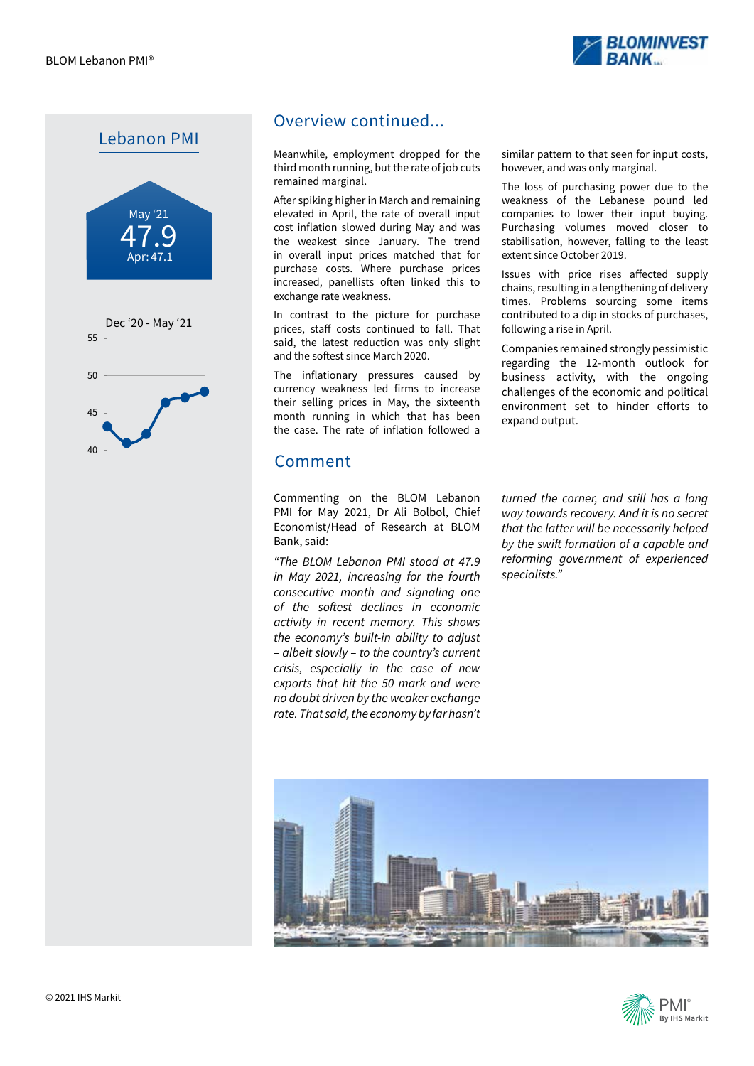







# Overview continued...

Meanwhile, employment dropped for the third month running, but the rate of job cuts remained marginal.

After spiking higher in March and remaining elevated in April, the rate of overall input cost inflation slowed during May and was the weakest since January. The trend in overall input prices matched that for purchase costs. Where purchase prices increased, panellists often linked this to exchange rate weakness.

In contrast to the picture for purchase prices, staff costs continued to fall. That said, the latest reduction was only slight and the softest since March 2020.

The inflationary pressures caused by currency weakness led firms to increase their selling prices in May, the sixteenth month running in which that has been the case. The rate of inflation followed a

# Comment

Commenting on the BLOM Lebanon PMI for May 2021, Dr Ali Bolbol, Chief Economist/Head of Research at BLOM Bank, said:

*"The BLOM Lebanon PMI stood at 47.9 in May 2021, increasing for the fourth consecutive month and signaling one*  of the softest declines in economic *activity in recent memory. This shows the economy's built-in ability to adjust – albeit slowly – to the country's current crisis, especially in the case of new exports that hit the 50 mark and were no doubt driven by the weaker exchange rate. That said, the economy by far hasn't* 

similar pattern to that seen for input costs, however, and was only marginal.

The loss of purchasing power due to the weakness of the Lebanese pound led companies to lower their input buying. Purchasing volumes moved closer to stabilisation, however, falling to the least extent since October 2019.

Issues with price rises affected supply chains, resulting in a lengthening of delivery times. Problems sourcing some items contributed to a dip in stocks of purchases, following a rise in April.

Companies remained strongly pessimistic regarding the 12-month outlook for business activity, with the ongoing challenges of the economic and political environment set to hinder efforts to expand output.

*turned the corner, and still has a long way towards recovery. And it is no secret that the latter will be necessarily helped*  by the swift formation of a capable and *reforming government of experienced specialists."*



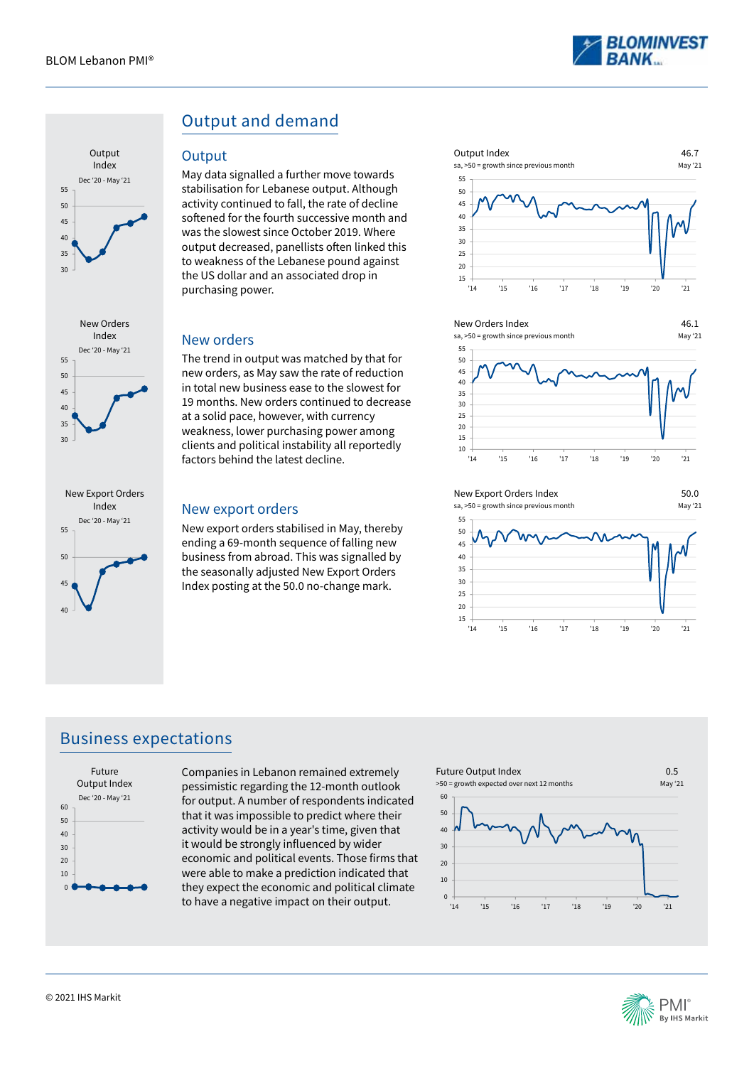

46.1





# Output and demand

#### **Output**

May data signalled a further move towards stabilisation for Lebanese output. Although activity continued to fall, the rate of decline softened for the fourth successive month and was the slowest since October 2019. Where output decreased, panellists often linked this to weakness of the Lebanese pound against the US dollar and an associated drop in purchasing power.

#### New orders

The trend in output was matched by that for new orders, as May saw the rate of reduction in total new business ease to the slowest for 19 months. New orders continued to decrease at a solid pace, however, with currency weakness, lower purchasing power among clients and political instability all reportedly factors behind the latest decline.

#### New export orders

New export orders stabilised in May, thereby ending a 69-month sequence of falling new business from abroad. This was signalled by the seasonally adjusted New Export Orders Index posting at the 50.0 no-change mark.



#### New Orders Index

15







'14 '15 '16 '17 '18 '19 '20 '21

# Business expectations



Companies in Lebanon remained extremely pessimistic regarding the 12-month outlook for output. A number of respondents indicated that it was impossible to predict where their activity would be in a year's time, given that it would be strongly influenced by wider economic and political events. Those firms that were able to make a prediction indicated that they expect the economic and political climate to have a negative impact on their output.



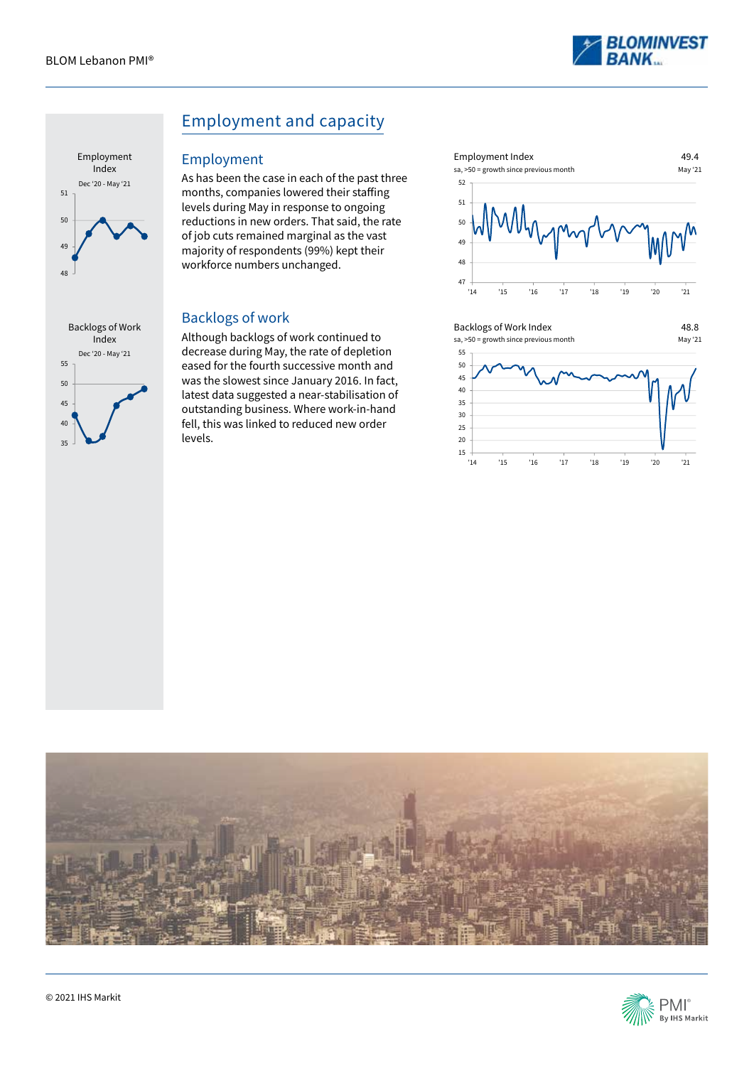



 $25$ 40 45

# Employment and capacity

#### Employment

As has been the case in each of the past three months, companies lowered their staffing levels during May in response to ongoing reductions in new orders. That said, the rate of job cuts remained marginal as the vast majority of respondents (99%) kept their workforce numbers unchanged.

### Backlogs of work

Although backlogs of work continued to decrease during May, the rate of depletion eased for the fourth successive month and was the slowest since January 2016. In fact, latest data suggested a near-stabilisation of outstanding business. Where work-in-hand fell, this was linked to reduced new order levels.







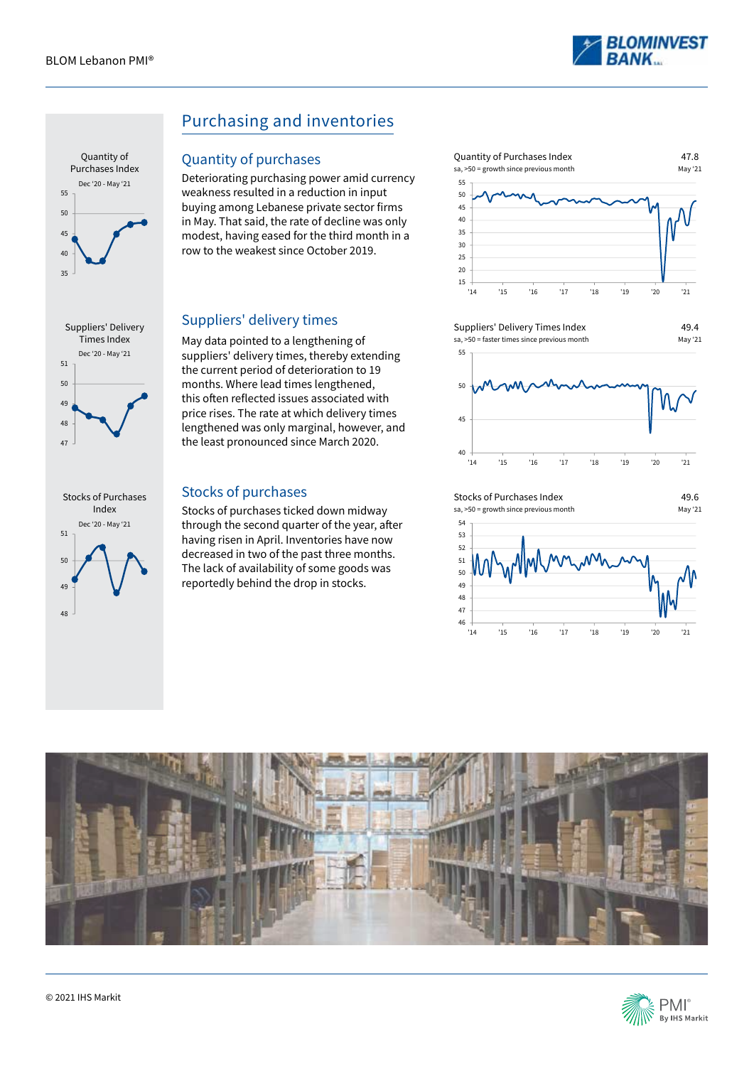







# Purchasing and inventories

#### Quantity of purchases

Deteriorating purchasing power amid currency weakness resulted in a reduction in input buying among Lebanese private sector firms in May. That said, the rate of decline was only modest, having eased for the third month in a row to the weakest since October 2019.

### Suppliers' delivery times

May data pointed to a lengthening of suppliers' delivery times, thereby extending the current period of deterioration to 19 months. Where lead times lengthened, this often reflected issues associated with price rises. The rate at which delivery times lengthened was only marginal, however, and the least pronounced since March 2020.

### Stocks of purchases

Stocks of purchases ticked down midway through the second quarter of the year, after having risen in April. Inventories have now decreased in two of the past three months. The lack of availability of some goods was reportedly behind the drop in stocks.













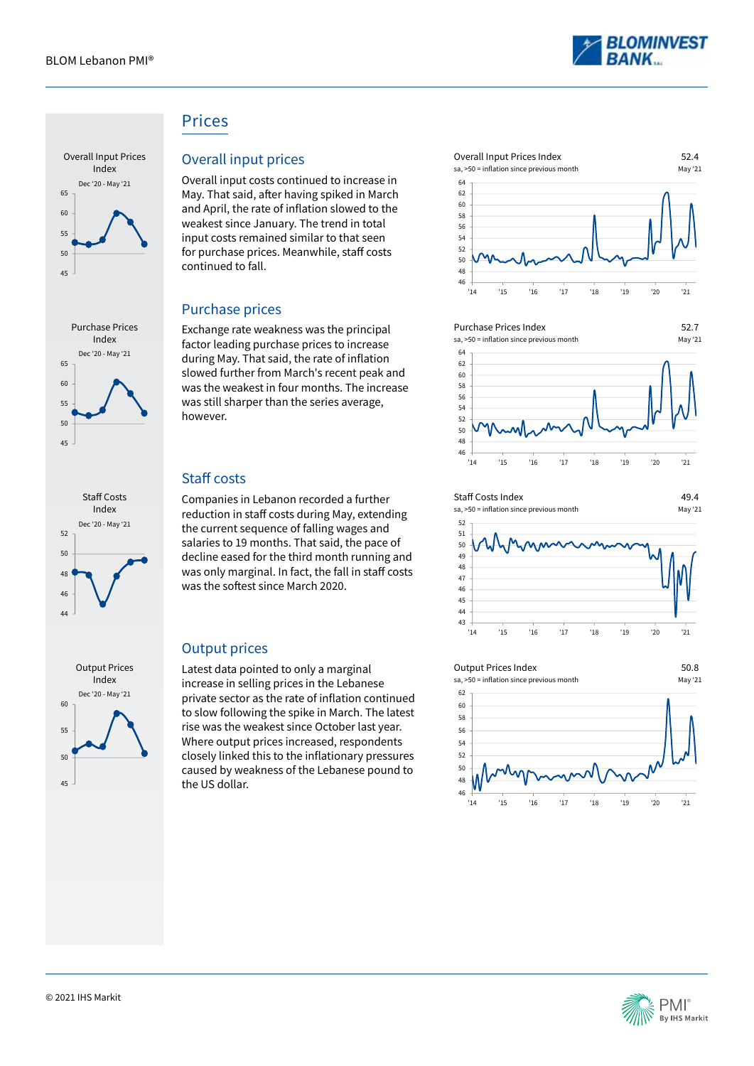









# Prices

## Overall input prices

Overall input costs continued to increase in May. That said, after having spiked in March and April, the rate of inflation slowed to the weakest since January. The trend in total input costs remained similar to that seen for purchase prices. Meanwhile, staff costs continued to fall.

### Purchase prices

Exchange rate weakness was the principal factor leading purchase prices to increase during May. That said, the rate of inflation slowed further from March's recent peak and was the weakest in four months. The increase was still sharper than the series average, however.

# Staff costs

Companies in Lebanon recorded a further reduction in staff costs during May, extending the current sequence of falling wages and salaries to 19 months. That said, the pace of decline eased for the third month running and was only marginal. In fact, the fall in staff costs was the softest since March 2020.

# Output prices

Latest data pointed to only a marginal increase in selling prices in the Lebanese private sector as the rate of inflation continued to slow following the spike in March. The latest rise was the weakest since October last year. Where output prices increased, respondents closely linked this to the inflationary pressures caused by weakness of the Lebanese pound to the US dollar.





'14 '15 '16 '17 '18 '19 '20 '21









'14 '15 '16 '17 '18 '19 '20 '21



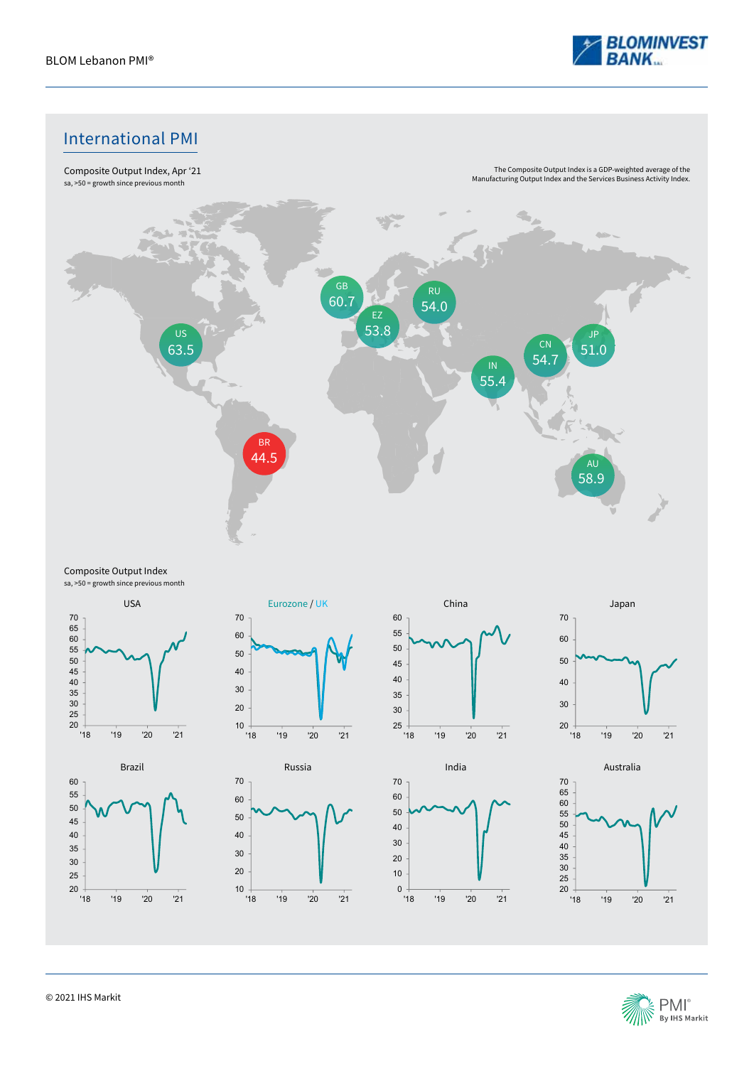

# International PMI



#### Composite Output Index sa, >50 = growth since previous month